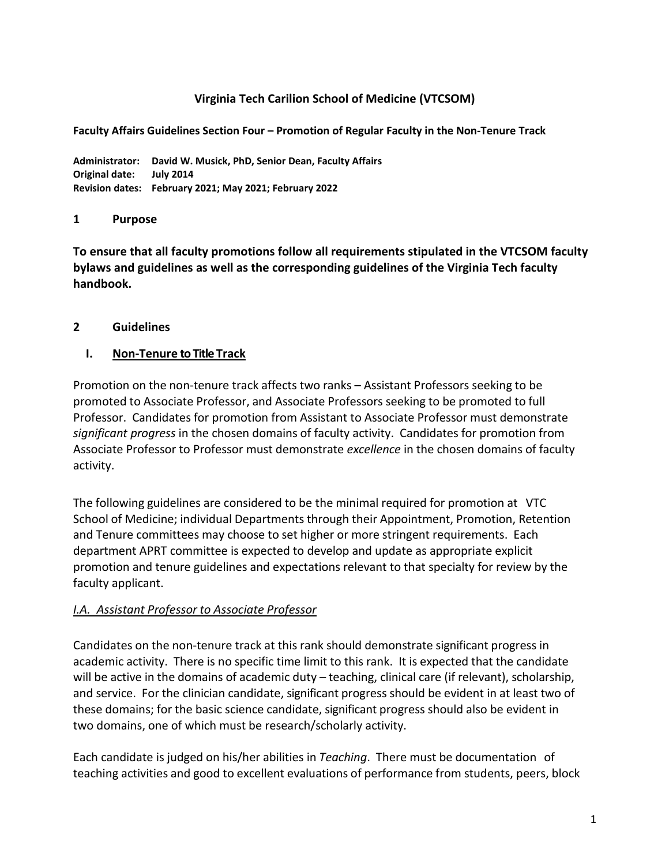## **Virginia Tech Carilion School of Medicine (VTCSOM)**

**Faculty Affairs Guidelines Section Four – Promotion of Regular Faculty in the Non-Tenure Track**

**Administrator: David W. Musick, PhD, Senior Dean, Faculty Affairs Original date: July 2014 Revision dates: February 2021; May 2021; February 2022**

### **1 Purpose**

**To ensure that all faculty promotions follow all requirements stipulated in the VTCSOM faculty bylaws and guidelines as well as the corresponding guidelines of the Virginia Tech faculty handbook.**

### **2 Guidelines**

### **I. Non-Tenure to Title Track**

Promotion on the non-tenure track affects two ranks – Assistant Professors seeking to be promoted to Associate Professor, and Associate Professors seeking to be promoted to full Professor. Candidates for promotion from Assistant to Associate Professor must demonstrate *significant progress* in the chosen domains of faculty activity. Candidates for promotion from Associate Professor to Professor must demonstrate *excellence* in the chosen domains of faculty activity.

The following guidelines are considered to be the minimal required for promotion at VTC School of Medicine; individual Departments through their Appointment, Promotion, Retention and Tenure committees may choose to set higher or more stringent requirements. Each department APRT committee is expected to develop and update as appropriate explicit promotion and tenure guidelines and expectations relevant to that specialty for review by the faculty applicant.

## *I.A. Assistant Professor to Associate Professor*

Candidates on the non-tenure track at this rank should demonstrate significant progress in academic activity. There is no specific time limit to this rank. It is expected that the candidate will be active in the domains of academic duty – teaching, clinical care (if relevant), scholarship, and service. For the clinician candidate, significant progress should be evident in at least two of these domains; for the basic science candidate, significant progress should also be evident in two domains, one of which must be research/scholarly activity.

Each candidate is judged on his/her abilities in *Teaching*. There must be documentation of teaching activities and good to excellent evaluations of performance from students, peers, block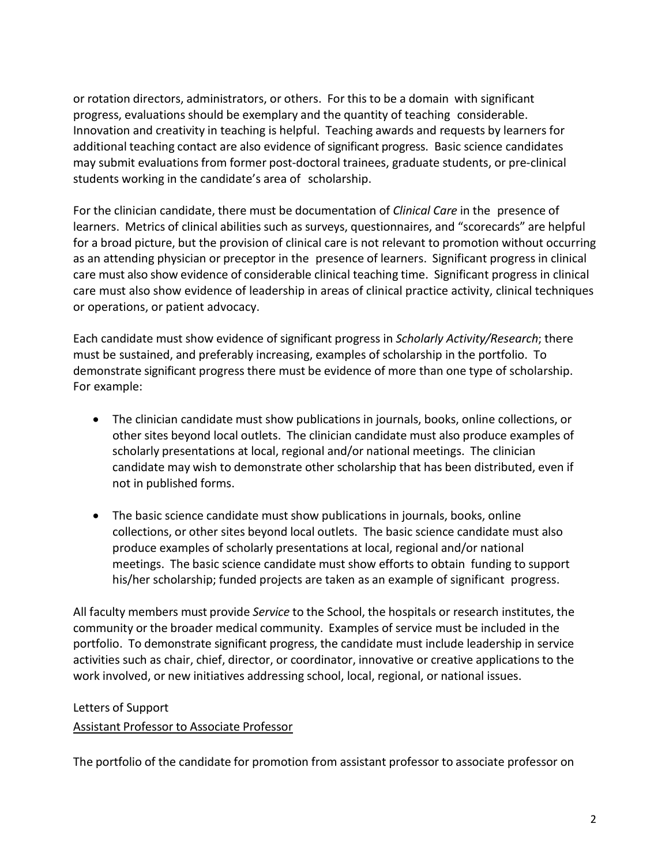or rotation directors, administrators, or others. For this to be a domain with significant progress, evaluations should be exemplary and the quantity of teaching considerable. Innovation and creativity in teaching is helpful. Teaching awards and requests by learners for additional teaching contact are also evidence of significant progress. Basic science candidates may submit evaluationsfrom former post-doctoral trainees, graduate students, or pre-clinical students working in the candidate's area of scholarship.

For the clinician candidate, there must be documentation of *Clinical Care* in the presence of learners. Metrics of clinical abilities such as surveys, questionnaires, and "scorecards" are helpful for a broad picture, but the provision of clinical care is not relevant to promotion without occurring as an attending physician or preceptor in the presence of learners. Significant progress in clinical care must also show evidence of considerable clinical teaching time. Significant progress in clinical care must also show evidence of leadership in areas of clinical practice activity, clinical techniques or operations, or patient advocacy.

Each candidate must show evidence of significant progress in *Scholarly Activity/Research*; there must be sustained, and preferably increasing, examples of scholarship in the portfolio. To demonstrate significant progress there must be evidence of more than one type of scholarship. For example:

- The clinician candidate must show publications in journals, books, online collections, or other sites beyond local outlets. The clinician candidate must also produce examples of scholarly presentations at local, regional and/or national meetings. The clinician candidate may wish to demonstrate other scholarship that has been distributed, even if not in published forms.
- The basic science candidate must show publications in journals, books, online collections, or other sites beyond local outlets. The basic science candidate must also produce examples of scholarly presentations at local, regional and/or national meetings. The basic science candidate must show efforts to obtain funding to support his/her scholarship; funded projects are taken as an example of significant progress.

All faculty members must provide *Service* to the School, the hospitals or research institutes, the community or the broader medical community. Examples of service must be included in the portfolio. To demonstrate significant progress, the candidate must include leadership in service activities such as chair, chief, director, or coordinator, innovative or creative applications to the work involved, or new initiatives addressing school, local, regional, or national issues.

## Letters of Support

## Assistant Professor to Associate Professor

The portfolio of the candidate for promotion from assistant professor to associate professor on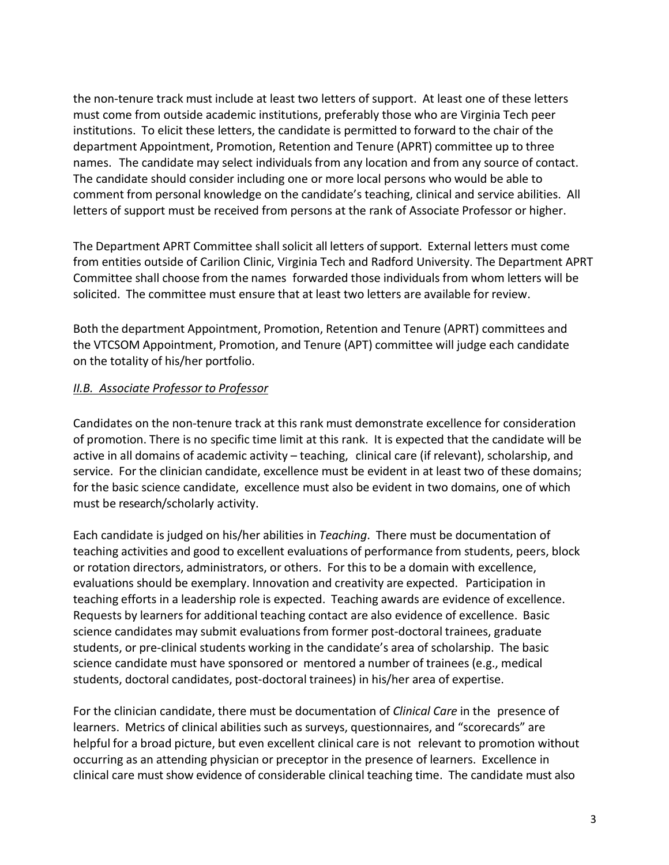the non-tenure track must include at least two letters of support. At least one of these letters must come from outside academic institutions, preferably those who are Virginia Tech peer institutions. To elicit these letters, the candidate is permitted to forward to the chair of the department Appointment, Promotion, Retention and Tenure (APRT) committee up to three names. The candidate may select individuals from any location and from any source of contact. The candidate should consider including one or more local persons who would be able to comment from personal knowledge on the candidate's teaching, clinical and service abilities. All letters of support must be received from persons at the rank of Associate Professor or higher.

The Department APRT Committee shall solicit all letters of support. External letters must come from entities outside of Carilion Clinic, Virginia Tech and Radford University. The Department APRT Committee shall choose from the names forwarded those individuals from whom letters will be solicited. The committee must ensure that at least two letters are available for review.

Both the department Appointment, Promotion, Retention and Tenure (APRT) committees and the VTCSOM Appointment, Promotion, and Tenure (APT) committee will judge each candidate on the totality of his/her portfolio.

### *II.B. Associate Professor to Professor*

Candidates on the non-tenure track at this rank must demonstrate excellence for consideration of promotion. There is no specific time limit at this rank. It is expected that the candidate will be active in all domains of academic activity – teaching, clinical care (if relevant), scholarship, and service. For the clinician candidate, excellence must be evident in at least two of these domains; for the basic science candidate, excellence must also be evident in two domains, one of which must be research/scholarly activity.

Each candidate is judged on his/her abilities in *Teaching*. There must be documentation of teaching activities and good to excellent evaluations of performance from students, peers, block or rotation directors, administrators, or others. For this to be a domain with excellence, evaluations should be exemplary. Innovation and creativity are expected. Participation in teaching efforts in a leadership role is expected. Teaching awards are evidence of excellence. Requests by learners for additional teaching contact are also evidence of excellence. Basic science candidates may submit evaluationsfrom former post-doctoral trainees, graduate students, or pre-clinical students working in the candidate's area of scholarship. The basic science candidate must have sponsored or mentored a number of trainees (e.g., medical students, doctoral candidates, post-doctoral trainees) in his/her area of expertise.

For the clinician candidate, there must be documentation of *Clinical Care* in the presence of learners. Metrics of clinical abilities such as surveys, questionnaires, and "scorecards" are helpful for a broad picture, but even excellent clinical care is not relevant to promotion without occurring as an attending physician or preceptor in the presence of learners. Excellence in clinical care must show evidence of considerable clinical teaching time. The candidate must also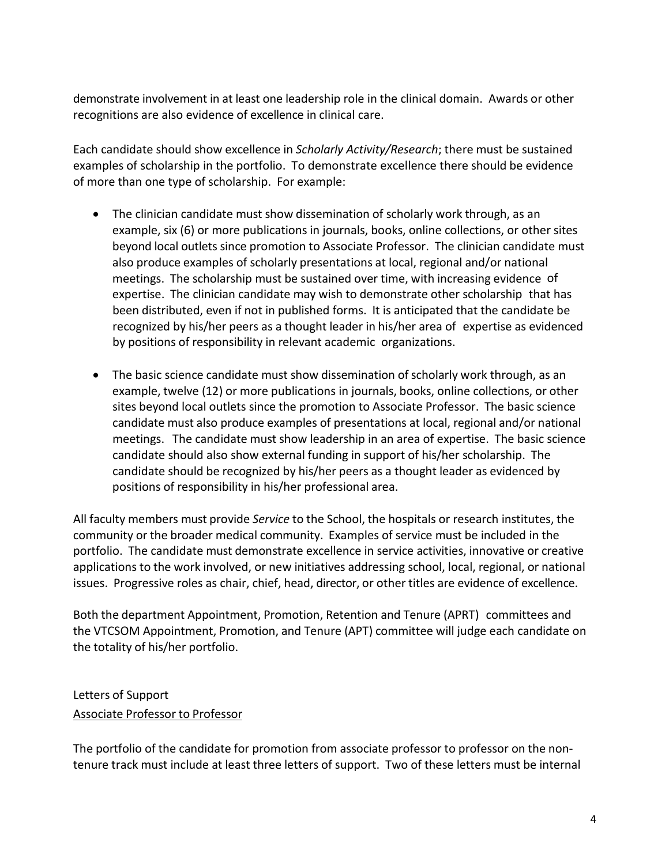demonstrate involvement in at least one leadership role in the clinical domain. Awards or other recognitions are also evidence of excellence in clinical care.

Each candidate should show excellence in *Scholarly Activity/Research*; there must be sustained examples of scholarship in the portfolio. To demonstrate excellence there should be evidence of more than one type of scholarship. For example:

- The clinician candidate must show dissemination of scholarly work through, as an example, six (6) or more publications in journals, books, online collections, or other sites beyond local outlets since promotion to Associate Professor. The clinician candidate must also produce examples of scholarly presentations at local, regional and/or national meetings. The scholarship must be sustained over time, with increasing evidence of expertise. The clinician candidate may wish to demonstrate other scholarship that has been distributed, even if not in published forms. It is anticipated that the candidate be recognized by his/her peers as a thought leader in his/her area of expertise as evidenced by positions of responsibility in relevant academic organizations.
- The basic science candidate must show dissemination of scholarly work through, as an example, twelve (12) or more publications in journals, books, online collections, or other sites beyond local outlets since the promotion to Associate Professor. The basic science candidate must also produce examples of presentations at local, regional and/or national meetings. The candidate must show leadership in an area of expertise. The basic science candidate should also show external funding in support of his/her scholarship. The candidate should be recognized by his/her peers as a thought leader as evidenced by positions of responsibility in his/her professional area.

All faculty members must provide *Service* to the School, the hospitals or research institutes, the community or the broader medical community. Examples of service must be included in the portfolio. The candidate must demonstrate excellence in service activities, innovative or creative applications to the work involved, or new initiatives addressing school, local, regional, or national issues. Progressive roles as chair, chief, head, director, or other titles are evidence of excellence.

Both the department Appointment, Promotion, Retention and Tenure (APRT) committees and the VTCSOM Appointment, Promotion, and Tenure (APT) committee will judge each candidate on the totality of his/her portfolio.

# Letters of Support Associate Professor to Professor

The portfolio of the candidate for promotion from associate professor to professor on the nontenure track must include at least three letters of support. Two of these letters must be internal